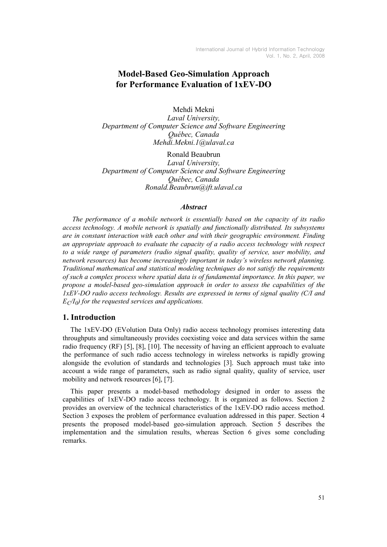# Model-Based Geo-Simulation Approach for Performance Evaluation of 1xEV-DO

Mehdi Mekni Laval University, Department of Computer Science and Software Engineering Québec, Canada Mehdi.Mekni.1@ulaval.ca

Ronald Beaubrun Laval University, Department of Computer Science and Software Engineering Québec, Canada Ronald.Beaubrun@ift.ulaval.ca

#### **Abstract**

The performance of a mobile network is essentially based on the capacity of its radio access technology. A mobile network is spatially and functionally distributed. Its subsystems are in constant interaction with each other and with their geographic environment. Finding an appropriate approach to evaluate the capacity of a radio access technology with respect to a wide range of parameters (radio signal quality, quality of service, user mobility, and network resources) has become increasingly important in today's wireless network planning. Traditional mathematical and statistical modeling techniques do not satisfy the requirements of such a complex process where spatial data is of fundamental importance. In this paper, we propose a model-based geo-simulation approach in order to assess the capabilities of the 1xEV-DO radio access technology. Results are expressed in terms of signal quality (C/I and  $E_C/I_0$ ) for the requested services and applications.

### 1. Introduction

The 1xEV-DO (EVolution Data Only) radio access technology promises interesting data throughputs and simultaneously provides coexisting voice and data services within the same radio frequency (RF) [5], [8], [10]. The necessity of having an efficient approach to evaluate the performance of such radio access technology in wireless networks is rapidly growing alongside the evolution of standards and technologies [3]. Such approach must take into account a wide range of parameters, such as radio signal quality, quality of service, user mobility and network resources [6], [7].

This paper presents a model-based methodology designed in order to assess the capabilities of 1xEV-DO radio access technology. It is organized as follows. Section 2 provides an overview of the technical characteristics of the 1xEV-DO radio access method. Section 3 exposes the problem of performance evaluation addressed in this paper. Section 4 presents the proposed model-based geo-simulation approach. Section 5 describes the implementation and the simulation results, whereas Section 6 gives some concluding remarks.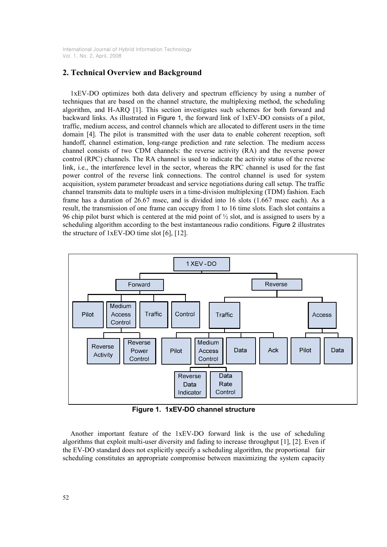# 2. Technical Overview and Background

1xEV-DO optimizes both data delivery and spectrum efficiency by using a number of techniques that are based on the channel structure, the multiplexing method, the scheduling algorithm, and H-ARQ [1]. This section investigates such schemes for both forward and backward links. As illustrated in Figure 1, the forward link of 1xEV-DO consists of a pilot, traffic, medium access, and control channels which are allocated to different users in the time domain [4]. The pilot is transmitted with the user data to enable coherent reception, soft handoff, channel estimation, long-range prediction and rate selection. The medium access channel consists of two CDM channels: the reverse activity (RA) and the reverse power control (RPC) channels. The RA channel is used to indicate the activity status of the reverse link, i.e., the interference level in the sector, whereas the RPC channel is used for the fast power control of the reverse link connections. The control channel is used for system acquisition, system parameter broadcast and service negotiations during call setup. The traffic channel transmits data to multiple users in a time-division multiplexing (TDM) fashion. Each frame has a duration of 26.67 msec, and is divided into 16 slots (1.667 msec each). As a result, the transmission of one frame can occupy from 1 to 16 time slots. Each slot contains a 96 chip pilot burst which is centered at the mid point of  $\frac{1}{2}$  slot, and is assigned to users by a scheduling algorithm according to the best instantaneous radio conditions. Figure 2 illustrates the structure of 1xEV-DO time slot [6], [12].



Figure 1. 1xEV-DO channel structure

Another important feature of the 1xEV-DO forward link is the use of scheduling algorithms that exploit multi-user diversity and fading to increase throughput [1], [2]. Even if the EV-DO standard does not explicitly specify a scheduling algorithm, the proportional fair scheduling constitutes an appropriate compromise between maximizing the system capacity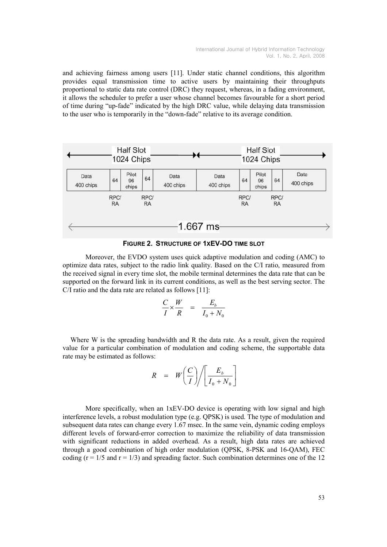and achieving fairness among users [11]. Under static channel conditions, this algorithm provides equal transmission time to active users by maintaining their throughputs proportional to static data rate control (DRC) they request, whereas, in a fading environment, it allows the scheduler to prefer a user whose channel becomes favourable for a short period of time during "up-fade" indicated by the high DRC value, while delaying data transmission to the user who is temporarily in the "down-fade" relative to its average condition.





Moreover, the EVDO system uses quick adaptive modulation and coding (AMC) to optimize data rates, subject to the radio link quality. Based on the C/I ratio, measured from the received signal in every time slot, the mobile terminal determines the data rate that can be supported on the forward link in its current conditions, as well as the best serving sector. The C/I ratio and the data rate are related as follows [11]:

$$
\frac{C}{I} \times \frac{W}{R} = \frac{E_b}{I_0 + N_0}
$$

Where W is the spreading bandwidth and R the data rate. As a result, given the required value for a particular combination of modulation and coding scheme, the supportable data rate may be estimated as follows:

$$
R = W \left( \frac{C}{I} \right) / \left[ \frac{E_b}{I_0 + N_0} \right]
$$

More specifically, when an 1xEV-DO device is operating with low signal and high interference levels, a robust modulation type (e.g. QPSK) is used. The type of modulation and subsequent data rates can change every 1.67 msec. In the same vein, dynamic coding employs different levels of forward-error correction to maximize the reliability of data transmission with significant reductions in added overhead. As a result, high data rates are achieved through a good combination of high order modulation (QPSK, 8-PSK and 16-QAM), FEC coding  $(r = 1/5$  and  $r = 1/3$ ) and spreading factor. Such combination determines one of the 12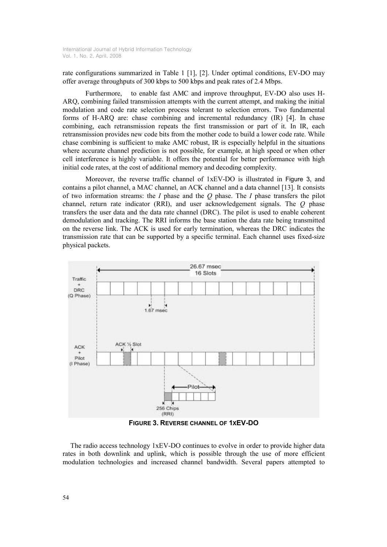rate configurations summarized in Table 1 [1], [2]. Under optimal conditions, EV-DO may offer average throughputs of 300 kbps to 500 kbps and peak rates of 2.4 Mbps.

 Furthermore, to enable fast AMC and improve throughput, EV-DO also uses H-ARQ, combining failed transmission attempts with the current attempt, and making the initial modulation and code rate selection process tolerant to selection errors. Two fundamental forms of H-ARQ are: chase combining and incremental redundancy (IR) [4]. In chase combining, each retransmission repeats the first transmission or part of it. In IR, each retransmission provides new code bits from the mother code to build a lower code rate. While chase combining is sufficient to make AMC robust, IR is especially helpful in the situations where accurate channel prediction is not possible, for example, at high speed or when other cell interference is highly variable. It offers the potential for better performance with high initial code rates, at the cost of additional memory and decoding complexity.

Moreover, the reverse traffic channel of 1xEV-DO is illustrated in Figure 3, and contains a pilot channel, a MAC channel, an ACK channel and a data channel [13]. It consists of two information streams: the I phase and the O phase. The I phase transfers the pilot channel, return rate indicator (RRI), and user acknowledgement signals. The Q phase transfers the user data and the data rate channel (DRC). The pilot is used to enable coherent demodulation and tracking. The RRI informs the base station the data rate being transmitted on the reverse link. The ACK is used for early termination, whereas the DRC indicates the transmission rate that can be supported by a specific terminal. Each channel uses fixed-size physical packets.



FIGURE 3. REVERSE CHANNEL OF 1XEV-DO

The radio access technology 1xEV-DO continues to evolve in order to provide higher data rates in both downlink and uplink, which is possible through the use of more efficient modulation technologies and increased channel bandwidth. Several papers attempted to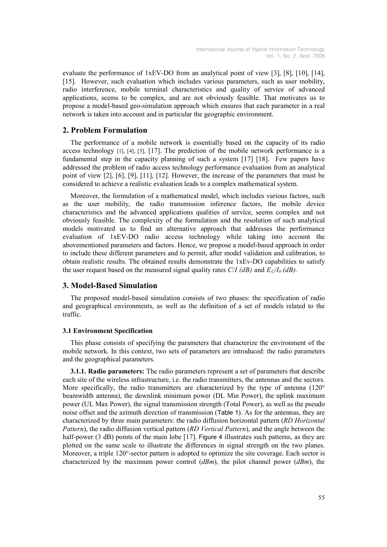evaluate the performance of 1xEV-DO from an analytical point of view [3], [8], [10], [14], [15]. However, such evaluation which includes various parameters, such as user mobility, radio interference, mobile terminal characteristics and quality of service of advanced applications, seems to be complex, and are not obviously feasible. That motivates us to propose a model-based geo-simulation approach which ensures that each parameter in a real network is taken into account and in particular the geographic environment.

# 2. Problem Formulation

The performance of a mobile network is essentially based on the capacity of its radio access technology [1], [4], [5], [17]. The prediction of the mobile network performance is a fundamental step in the capacity planning of such a system [17] [18]. Few papers have addressed the problem of radio access technology performance evaluation from an analytical point of view [2], [6], [9], [11], [12]. However, the increase of the parameters that must be considered to achieve a realistic evaluation leads to a complex mathematical system.

Moreover, the formulation of a mathematical model, which includes various factors, such as the user mobility, the radio transmission inference factors, the mobile device characteristics and the advanced applications qualities of service, seems complex and not obviously feasible. The complexity of the formulation and the resolution of such analytical models motivated us to find an alternative approach that addresses the performance evaluation of 1xEV-DO radio access technology while taking into account the abovementioned parameters and factors. Hence, we propose a model-based approach in order to include these different parameters and to permit, after model validation and calibration, to obtain realistic results. The obtained results demonstrate the 1xEv-DO capabilities to satisfy the user request based on the measured signal quality rates C/I (dB) and  $E_c/I_0$  (dB).

# 3. Model-Based Simulation

The proposed model-based simulation consists of two phases: the specification of radio and geographical environments, as well as the definition of a set of models related to the traffic.

### 3.1 Environment Specification

This phase consists of specifying the parameters that characterize the environment of the mobile network. In this context, two sets of parameters are introduced: the radio parameters and the geographical parameters.

3.1.1. Radio parameters: The radio parameters represent a set of parameters that describe each site of the wireless infrastructure, i.e. the radio transmitters, the antennas and the sectors. More specifically, the radio transmitters are characterized by the type of antenna  $(120^{\circ}$ beamwidth antenna), the downlink minimum power (DL Min Power), the uplink maximum power (UL Max Power), the signal transmission strength (Total Power), as well as the pseudo noise offset and the azimuth direction of transmission (Table 1). As for the antennas, they are characterized by three main parameters: the radio diffusion horizontal pattern (RD Horizontal Pattern), the radio diffusion vertical pattern (RD Vertical Pattern), and the angle between the half-power (3 dB) points of the main lobe [17]. Figure 4 illustrates such patterns, as they are plotted on the same scale to illustrate the differences in signal strength on the two planes. Moreover, a triple 120°-sector pattern is adopted to optimize the site coverage. Each sector is characterized by the maximum power control  $(dBm)$ , the pilot channel power  $(dBm)$ , the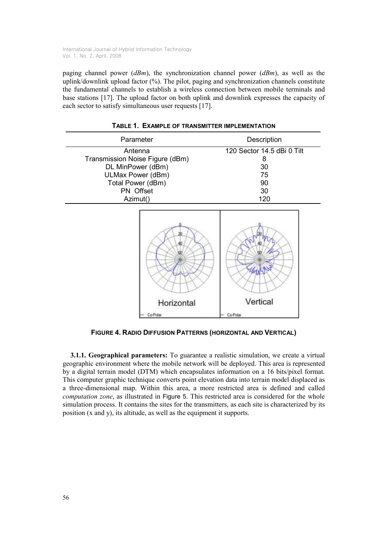paging channel power  $(dBm)$ , the synchronization channel power  $(dBm)$ , as well as the uplink/downlink upload factor (%). The pilot, paging and synchronization channels constitute the fundamental channels to establish a wireless connection between mobile terminals and base stations [17]. The upload factor on both uplink and downlink expresses the capacity of each sector to satisfy simultaneous user requests [17].

| Parameter                       | Description                |
|---------------------------------|----------------------------|
| Antenna                         | 120 Sector 14.5 dBi 0 Tilt |
| Transmission Noise Figure (dBm) | 8                          |
| DL MinPower (dBm)               | 30                         |
| ULMax Power (dBm)               | 75                         |
| Total Power (dBm)               | 90                         |
| PN Offset                       | 30                         |
| Azimut()                        | 120                        |

|  | TABLE 1. EXAMPLE OF TRANSMITTER IMPLEMENTATION |
|--|------------------------------------------------|
|--|------------------------------------------------|



FIGURE 4. RADIO DIFFUSION PATTERNS (HORIZONTAL AND VERTICAL)

3.1.1. Geographical parameters: To guarantee a realistic simulation, we create a virtual geographic environment where the mobile network will be deployed. This area is represented by a digital terrain model (DTM) which encapsulates information on a 16 bits/pixel format. This computer graphic technique converts point elevation data into terrain model displaced as a three-dimensional map. Within this area, a more restricted area is defined and called computation zone, as illustrated in Figure 5. This restricted area is considered for the whole simulation process. It contains the sites for the transmitters, as each site is characterized by its position (x and y), its altitude, as well as the equipment it supports.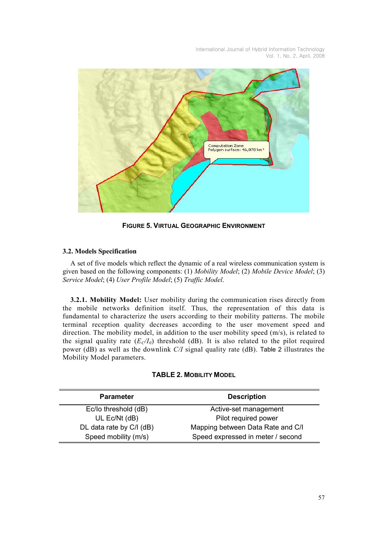

FIGURE 5. VIRTUAL GEOGRAPHIC ENVIRONMENT

### 3.2. Models Specification

A set of five models which reflect the dynamic of a real wireless communication system is given based on the following components: (1) Mobility Model; (2) Mobile Device Model; (3) Service Model; (4) User Profile Model; (5) Traffic Model.

3.2.1. Mobility Model: User mobility during the communication rises directly from the mobile networks definition itself. Thus, the representation of this data is fundamental to characterize the users according to their mobility patterns. The mobile terminal reception quality decreases according to the user movement speed and direction. The mobility model, in addition to the user mobility speed (m/s), is related to the signal quality rate  $(E_C/I_0)$  threshold (dB). It is also related to the pilot required power (dB) as well as the downlink C/I signal quality rate (dB). Table 2 illustrates the Mobility Model parameters.

| <b>TABLE 2. MOBILITY MODEL</b> |  |  |
|--------------------------------|--|--|
|--------------------------------|--|--|

| <b>Parameter</b>         | <b>Description</b>                |
|--------------------------|-----------------------------------|
| Ec/lo threshold (dB)     | Active-set management             |
| UL Ec/Nt (dB)            | Pilot required power              |
| DL data rate by C/I (dB) | Mapping between Data Rate and C/I |
| Speed mobility (m/s)     | Speed expressed in meter / second |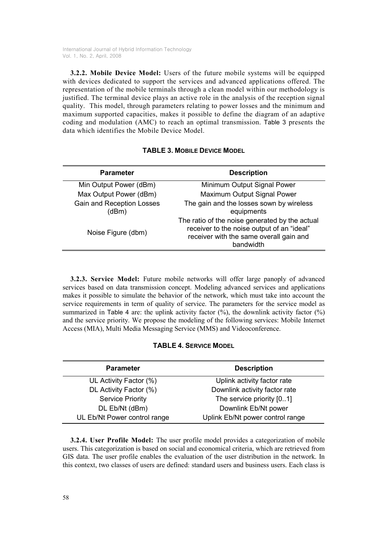3.2.2. Mobile Device Model: Users of the future mobile systems will be equipped with devices dedicated to support the services and advanced applications offered. The representation of the mobile terminals through a clean model within our methodology is justified. The terminal device plays an active role in the analysis of the reception signal quality. This model, through parameters relating to power losses and the minimum and maximum supported capacities, makes it possible to define the diagram of an adaptive coding and modulation (AMC) to reach an optimal transmission. Table 3 presents the data which identifies the Mobile Device Model.

| <b>Parameter</b>                          | <b>Description</b>                                                                                                                                   |
|-------------------------------------------|------------------------------------------------------------------------------------------------------------------------------------------------------|
| Min Output Power (dBm)                    | Minimum Output Signal Power                                                                                                                          |
| Max Output Power (dBm)                    | Maximum Output Signal Power                                                                                                                          |
| <b>Gain and Reception Losses</b><br>(dBm) | The gain and the losses sown by wireless<br>equipments                                                                                               |
| Noise Figure (dbm)                        | The ratio of the noise generated by the actual<br>receiver to the noise output of an "ideal"<br>receiver with the same overall gain and<br>bandwidth |

|  | <b>TABLE 3. MOBILE DEVICE MODEL</b> |  |  |
|--|-------------------------------------|--|--|
|--|-------------------------------------|--|--|

3.2.3. Service Model: Future mobile networks will offer large panoply of advanced services based on data transmission concept. Modeling advanced services and applications makes it possible to simulate the behavior of the network, which must take into account the service requirements in term of quality of service. The parameters for the service model as summarized in Table 4 are: the uplink activity factor  $(\%)$ , the downlink activity factor  $(\%)$ and the service priority. We propose the modeling of the following services: Mobile Internet Access (MIA), Multi Media Messaging Service (MMS) and Videoconference.

|  |  |  | <b>TABLE 4. SERVICE MODEL</b> |  |
|--|--|--|-------------------------------|--|
|--|--|--|-------------------------------|--|

| <b>Parameter</b>             | <b>Description</b>               |
|------------------------------|----------------------------------|
| UL Activity Factor (%)       | Uplink activity factor rate      |
| DL Activity Factor (%)       | Downlink activity factor rate    |
| <b>Service Priority</b>      | The service priority [01]        |
| DL Eb/Nt (dBm)               | Downlink Eb/Nt power             |
| UL Eb/Nt Power control range | Uplink Eb/Nt power control range |

3.2.4. User Profile Model: The user profile model provides a categorization of mobile users. This categorization is based on social and economical criteria, which are retrieved from GIS data. The user profile enables the evaluation of the user distribution in the network. In this context, two classes of users are defined: standard users and business users. Each class is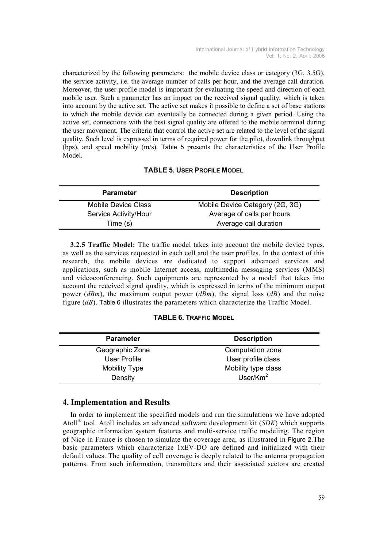characterized by the following parameters: the mobile device class or category (3G, 3.5G), the service activity, i.e. the average number of calls per hour, and the average call duration. Moreover, the user profile model is important for evaluating the speed and direction of each mobile user. Such a parameter has an impact on the received signal quality, which is taken into account by the active set. The active set makes it possible to define a set of base stations to which the mobile device can eventually be connected during a given period. Using the active set, connections with the best signal quality are offered to the mobile terminal during the user movement. The criteria that control the active set are related to the level of the signal quality. Such level is expressed in terms of required power for the pilot, downlink throughput (bps), and speed mobility (m/s). Table 5 presents the characteristics of the User Profile Model.

## TABLE 5. USER PROFILE MODEL

| <b>Parameter</b>           | <b>Description</b>              |
|----------------------------|---------------------------------|
| <b>Mobile Device Class</b> | Mobile Device Category (2G, 3G) |
| Service Activity/Hour      | Average of calls per hours      |
| Time (s)                   | Average call duration           |

3.2.5 Traffic Model: The traffic model takes into account the mobile device types, as well as the services requested in each cell and the user profiles. In the context of this research, the mobile devices are dedicated to support advanced services and applications, such as mobile Internet access, multimedia messaging services (MMS) and videoconferencing. Such equipments are represented by a model that takes into account the received signal quality, which is expressed in terms of the minimum output power  $(dBm)$ , the maximum output power  $(dBm)$ , the signal loss  $(dB)$  and the noise figure  $(d)$ . Table 6 illustrates the parameters which characterize the Traffic Model.

### TABLE 6. TRAFFIC MODEL

| <b>Parameter</b>     | <b>Description</b>  |
|----------------------|---------------------|
| Geographic Zone      | Computation zone    |
| User Profile         | User profile class  |
| <b>Mobility Type</b> | Mobility type class |
| Density              | User/ $Km^2$        |

## 4. Implementation and Results

In order to implement the specified models and run the simulations we have adopted Atoll<sup>®</sup> tool. Atoll includes an advanced software development kit  $(SDK)$  which supports geographic information system features and multi-service traffic modeling. The region of Nice in France is chosen to simulate the coverage area, as illustrated in Figure 2.The basic parameters which characterize 1xEV-DO are defined and initialized with their default values. The quality of cell coverage is deeply related to the antenna propagation patterns. From such information, transmitters and their associated sectors are created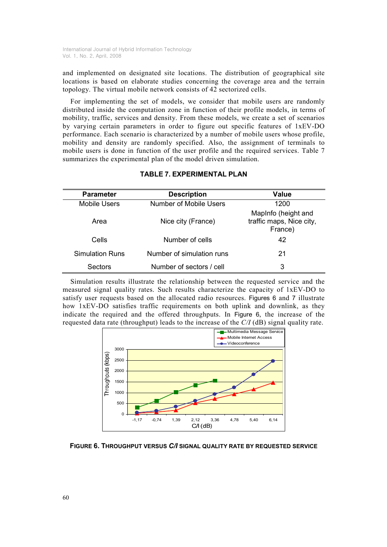and implemented on designated site locations. The distribution of geographical site locations is based on elaborate studies concerning the coverage area and the terrain topology. The virtual mobile network consists of 42 sectorized cells.

For implementing the set of models, we consider that mobile users are randomly distributed inside the computation zone in function of their profile models, in terms of mobility, traffic, services and density. From these models, we create a set of scenarios by varying certain parameters in order to figure out specific features of 1xEV-DO performance. Each scenario is characterized by a number of mobile users whose profile, mobility and density are randomly specified. Also, the assignment of terminals to mobile users is done in function of the user profile and the required services. Table 7 summarizes the experimental plan of the model driven simulation.

| <b>Parameter</b>    | <b>Description</b>            | <b>Value</b>                                               |
|---------------------|-------------------------------|------------------------------------------------------------|
| <b>Mobile Users</b> | <b>Number of Mobile Users</b> | 1200                                                       |
| Area                | Nice city (France)            | MapInfo (height and<br>traffic maps, Nice city,<br>France) |
| Cells               | Number of cells               | 42                                                         |
| Simulation Runs     | Number of simulation runs     | 21                                                         |
| Sectors             | Number of sectors / cell      | 3                                                          |

## TABLE 7. EXPERIMENTAL PLAN

Simulation results illustrate the relationship between the requested service and the measured signal quality rates. Such results characterize the capacity of 1xEV-DO to satisfy user requests based on the allocated radio resources. Figures 6 and 7 illustrate how 1xEV-DO satisfies traffic requirements on both uplink and downlink, as they indicate the required and the offered throughputs. In Figure 6, the increase of the requested data rate (throughput) leads to the increase of the C/I (dB) signal quality rate.



FIGURE 6. THROUGHPUT VERSUS C/I SIGNAL QUALITY RATE BY REQUESTED SERVICE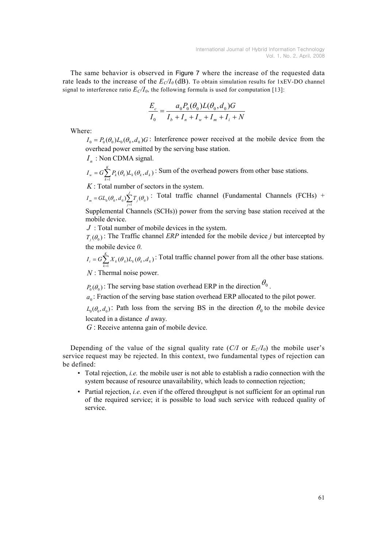The same behavior is observed in Figure 7 where the increase of the requested data rate leads to the increase of the  $E_C/I_0$  (dB). To obtain simulation results for 1xEV-DO channel signal to interference ratio  $E_C/I_0$ , the following formula is used for computation [13]:

$$
\frac{E_c}{I_0} = \frac{a_0 P_0(\theta_0) L(\theta_0, d_0) G}{I_b + I_n + I_w + I_m + I_i + N}
$$

Where:

 $I_0 = P_0(\theta_0)L_0(\theta_0, d_0)$  C: Interference power received at the mobile device from the overhead power emitted by the serving base station.

 $I_n$ : Non CDMA signal.

 $(\theta_k) L_k(\theta_k, d_k)$ K  $I_w = G \sum_{k=1}^{\infty} P_k(\theta_k) L_k(\theta_k, d)$  $=G\sum_{i=1}^{n} P_{i}(\theta_{i})L_{i}(\theta_{i},d_{i})$ : Sum of the overhead powers from other base stations.

 $K:$  Total number of sectors in the system.

 $\sum_{j=1}^{\tilde{}}$  $I_m = GL_0(\theta_0, d_0) \sum_{i=1}^{J} T_i(\theta_0)$ : Total traffic channel (Fundamental Channels (FCHs) + j 1

Supplemental Channels (SCHs)) power from the serving base station received at the mobile device.

 $J$ : Total number of mobile devices in the system.

 $T_j(\theta_0)$ : The Traffic channel *ERP* intended for the mobile device j but intercepted by the mobile device 0.

 $(\theta_k) L_k(\theta_k, d_k)$  $\sum_{k} A_k (v_k) L_k (v_k, u_k)$ K  $I_i = G \sum_{k=1}^{K} X_k(\theta_k) L_k(\theta_k, d)$  $=G\sum_{i=1}^{n}X_{i}(\theta_{i})L_{i}(\theta_{i},d_{i})$ . Total traffic channel power from all the other base stations.

 $N$ : Thermal noise power.

 $P_0(\theta_0)$ : The serving base station overhead ERP in the direction  $\theta_0$ .

 $a_0$ : Fraction of the serving base station overhead ERP allocated to the pilot power.

 $L_0(\theta_0, d_0)$ : Path loss from the serving BS in the direction  $\theta_0$  to the mobile device located in a distance d away.

 $G$ : Receive antenna gain of mobile device.

Depending of the value of the signal quality rate (C/I or  $E_C/I_0$ ) the mobile user's service request may be rejected. In this context, two fundamental types of rejection can be defined:

- Total rejection, *i.e.* the mobile user is not able to establish a radio connection with the system because of resource unavailability, which leads to connection rejection;
- Partial rejection, *i.e.* even if the offered throughput is not sufficient for an optimal run of the required service; it is possible to load such service with reduced quality of service.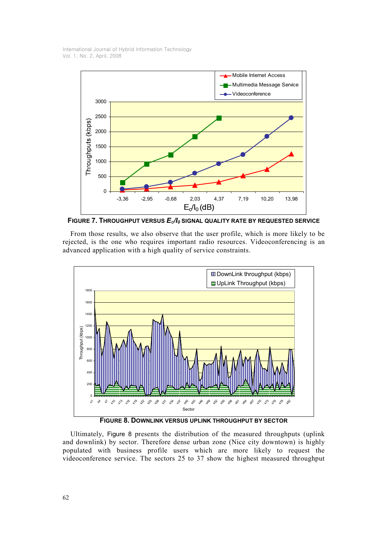

FIGURE 7. THROUGHPUT VERSUS  $E_c/I_0$  signal quality rate by requested service

From those results, we also observe that the user profile, which is more likely to be rejected, is the one who requires important radio resources. Videoconferencing is an advanced application with a high quality of service constraints.



Ultimately, Figure 8 presents the distribution of the measured throughputs (uplink and downlink) by sector. Therefore dense urban zone (Nice city downtown) is highly populated with business profile users which are more likely to request the videoconference service. The sectors 25 to 37 show the highest measured throughput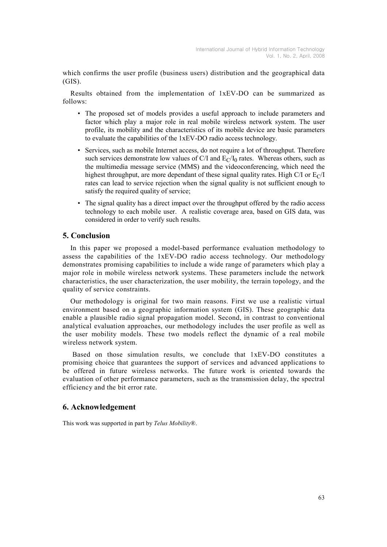which confirms the user profile (business users) distribution and the geographical data (GIS).

Results obtained from the implementation of 1xEV-DO can be summarized as follows:

- The proposed set of models provides a useful approach to include parameters and factor which play a major role in real mobile wireless network system. The user profile, its mobility and the characteristics of its mobile device are basic parameters to evaluate the capabilities of the 1xEV-DO radio access technology.
- Services, such as mobile Internet access, do not require a lot of throughput. Therefore such services demonstrate low values of C/I and  $E_C/I_0$  rates. Whereas others, such as the multimedia message service (MMS) and the videoconferencing, which need the highest throughput, are more dependant of these signal quality rates. High C/I or  $E<sub>C</sub>/I$ rates can lead to service rejection when the signal quality is not sufficient enough to satisfy the required quality of service;
- The signal quality has a direct impact over the throughput offered by the radio access technology to each mobile user. A realistic coverage area, based on GIS data, was considered in order to verify such results.

## 5. Conclusion

In this paper we proposed a model-based performance evaluation methodology to assess the capabilities of the 1xEV-DO radio access technology. Our methodology demonstrates promising capabilities to include a wide range of parameters which play a major role in mobile wireless network systems. These parameters include the network characteristics, the user characterization, the user mobility, the terrain topology, and the quality of service constraints.

Our methodology is original for two main reasons. First we use a realistic virtual environment based on a geographic information system (GIS). These geographic data enable a plausible radio signal propagation model. Second, in contrast to conventional analytical evaluation approaches, our methodology includes the user profile as well as the user mobility models. These two models reflect the dynamic of a real mobile wireless network system.

 Based on those simulation results, we conclude that 1xEV-DO constitutes a promising choice that guarantees the support of services and advanced applications to be offered in future wireless networks. The future work is oriented towards the evaluation of other performance parameters, such as the transmission delay, the spectral efficiency and the bit error rate.

### 6. Acknowledgement

This work was supported in part by Telus Mobility®.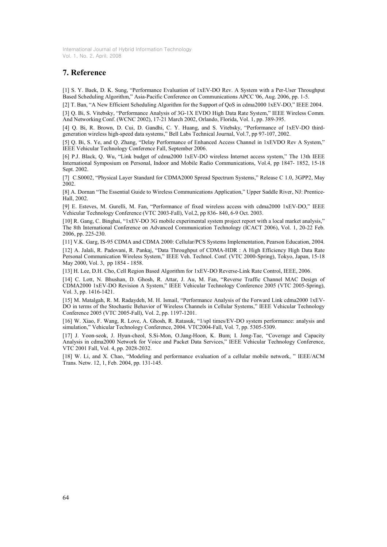# 7. Reference

[1] S. Y. Baek, D. K. Sung, "Performance Evaluation of 1xEV-DO Rev. A System with a Per-User Throughput Based Scheduling Algorithm," Asia-Pacific Conference on Communications APCC '06, Aug. 2006, pp. 1-5.

[2] T. Ban, "A New Efficient Scheduling Algorithm for the Support of QoS in cdma2000 1xEV-DO," IEEE 2004.

[3] Q. Bi, S. Vitebsky, "Performance Analysis of 3G-1X EVDO High Data Rate System," IEEE Wireless Comm. And Networking Conf. (WCNC 2002), 17-21 March 2002, Orlando, Florida, Vol. 1, pp. 389-395.

[4] Q. Bi, R. Brown, D. Cui, D. Gandhi, C. Y. Huang, and S. Vitebsky, "Performance of 1xEV-DO thirdgeneration wireless high-speed data systems," Bell Labs Technical Journal, Vol.7, pp 97-107, 2002.

[5] Q. Bi, S. Ye, and Q. Zhang, "Delay Performance of Enhanced Access Channel in 1xEVDO Rev A System," IEEE Vehicular Technology Conference Fall, September 2006.

[6] P.J. Black, Q. Wu, "Link budget of cdma2000 1xEV-DO wireless Internet access system," The 13th IEEE International Symposium on Personal, Indoor and Mobile Radio Communications, Vol.4, pp 1847- 1852, 15-18 Sept. 2002.

[7] C.S0002, "Physical Layer Standard for CDMA2000 Spread Spectrum Systems," Release C 1.0, 3GPP2, May 2002.

[8] A. Dornan "The Essential Guide to Wireless Communications Application," Upper Saddle River, NJ: Prentice-Hall, 2002.

[9] E. Esteves, M. Gurelli, M. Fan, "Performance of fixed wireless access with cdma2000 1xEV-DO," IEEE Vehicular Technology Conference (VTC 2003-Fall), Vol.2, pp 836- 840, 6-9 Oct. 2003.

[10] R. Gang, C. Binghai, "1xEV-DO 3G mobile experimental system project report with a local market analysis," The 8th International Conference on Advanced Communication Technology (ICACT 2006), Vol. 1, 20-22 Feb. 2006, pp. 225-230.

[11] V.K. Garg, IS-95 CDMA and CDMA 2000: Cellular/PCS Systems Implementation, Pearson Education, 2004.

[12] A. Jalali, R. Padovani, R. Pankaj, "Data Throughput of CDMA-HDR : A High Efficiency High Data Rate Personal Communication Wireless System," IEEE Veh. Technol. Conf. (VTC 2000-Spring), Tokyo, Japan, 15-18 May 2000, Vol. 3, pp 1854 - 1858.

[13] H. Lee, D.H. Cho, Cell Region Based Algorithm for 1xEV-DO Reverse-Link Rate Control, IEEE, 2006.

[14] C. Lott, N. Bhushan, D. Ghosh, R. Attar, J. Au, M. Fan, "Reverse Traffic Channel MAC Design of CDMA2000 1xEV-DO Revision A System," IEEE Vehicular Technology Conference 2005 (VTC 2005-Spring), Vol. 3, pp. 1416-1421.

[15] M. Matalgah, R. M. Radaydeh, M. H. Ismail, "Performance Analysis of the Forward Link cdma2000 1xEV-DO in terms of the Stochastic Behavior of Wireless Channels in Cellular Systems," IEEE Vehicular Technology Conference 2005 (VTC 2005-Fall), Vol. 2, pp. 1197-1201.

[16] W. Xiao, F. Wang, R. Love, A. Ghosh, R. Ratasuk, "1/spl times/EV-DO system performance: analysis and simulation," Vehicular Technology Conference, 2004. VTC2004-Fall, Vol. 7, pp. 5305-5309.

[17] J. Yoon-seok, J. Hyun-cheol, S.Si-Mon, O.Jang-Hoon, K. Bum; I. Jong-Tae, "Coverage and Capacity Analysis in cdma2000 Network for Voice and Packet Data Services," IEEE Vehicular Technology Conference, VTC 2001 Fall, Vol. 4, pp. 2028-2032.

[18] W. Li, and X. Chao, "Modeling and performance evaluation of a cellular mobile network, " IEEE/ACM Trans. Netw. 12, 1, Feb. 2004, pp. 131-145.